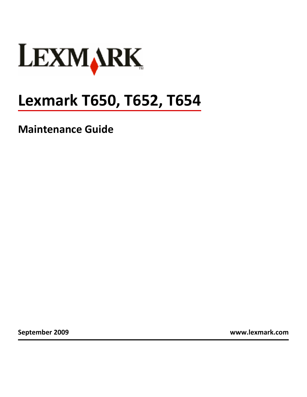

# **Lexmark T650, T652, T654**

**Maintenance Guide**

**September 2009 [www.lexmark.com](http://www.lexmark.com)**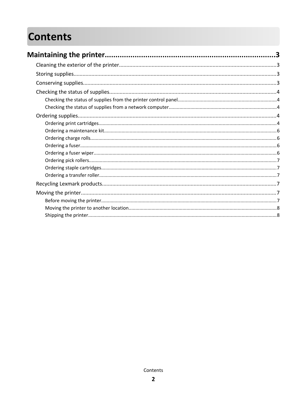# **Contents**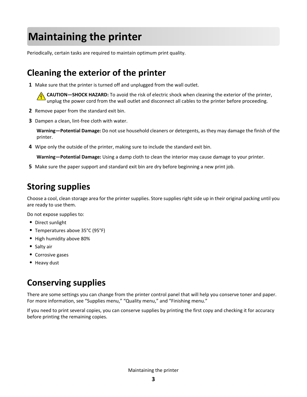# <span id="page-2-0"></span>**Maintaining the printer**

Periodically, certain tasks are required to maintain optimum print quality.

# **Cleaning the exterior of the printer**

**1** Make sure that the printer is turned off and unplugged from the wall outlet.

**CAUTION—SHOCK HAZARD:** To avoid the risk of electric shock when cleaning the exterior of the printer, unplug the power cord from the wall outlet and disconnect all cables to the printer before proceeding.

- **2** Remove paper from the standard exit bin.
- **3** Dampen a clean, lint-free cloth with water.

**Warning—Potential Damage:** Do not use household cleaners or detergents, as they may damage the finish of the printer.

**4** Wipe only the outside of the printer, making sure to include the standard exit bin.

**Warning—Potential Damage:** Using a damp cloth to clean the interior may cause damage to your printer.

**5** Make sure the paper support and standard exit bin are dry before beginning a new print job.

# **Storing supplies**

Choose a cool, clean storage area for the printer supplies. Store supplies right side up in their original packing until you are ready to use them.

Do not expose supplies to:

- **•** Direct sunlight
- **•** Temperatures above 35°C (95°F)
- **•** High humidity above 80%
- **•** Salty air
- **•** Corrosive gases
- **•** Heavy dust

# **Conserving supplies**

There are some settings you can change from the printer control panel that will help you conserve toner and paper. For more information, see "Supplies menu," "Quality menu," and "Finishing menu."

If you need to print several copies, you can conserve supplies by printing the first copy and checking it for accuracy before printing the remaining copies.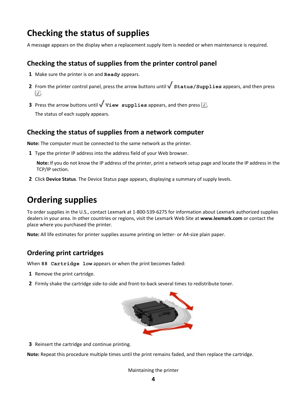# <span id="page-3-0"></span>**Checking the status of supplies**

A message appears on the display when a replacement supply item is needed or when maintenance is required.

## **Checking the status of supplies from the printer control panel**

- **1** Make sure the printer is on and **Ready** appears.
- **2** From the printer control panel, press the arrow buttons until  $\sqrt{\text{status/Supplies appears}}$ , and then press  $|\sqrt{ }|$

**3** Press the arrow buttons until  $\sqrt{\text{view} \text{ supply}}$  is appears, and then press  $\sqrt{\cdot}$ . The status of each supply appears.

## **Checking the status of supplies from a network computer**

**Note:** The computer must be connected to the same network as the printer.

**1** Type the printer IP address into the address field of your Web browser.

**Note:** If you do not know the IP address of the printer, print a network setup page and locate the IP address in the TCP/IP section.

**2** Click **Device Status**. The Device Status page appears, displaying a summary of supply levels.

# **Ordering supplies**

To order supplies in the U.S., contact Lexmark at 1-800-539-6275 for information about Lexmark authorized supplies dealers in your area. In other countries or regions, visit the Lexmark Web Site at **[www.lexmark.com](http://www.lexmark.com)** or contact the place where you purchased the printer.

**Note:** All life estimates for printer supplies assume printing on letter- or A4-size plain paper.

# **Ordering print cartridges**

When **88 Cartridge low** appears or when the print becomes faded:

- **1** Remove the print cartridge.
- **2** Firmly shake the cartridge side-to-side and front-to-back several times to redistribute toner.



**3** Reinsert the cartridge and continue printing.

**Note:** Repeat this procedure multiple times until the print remains faded, and then replace the cartridge.

#### Maintaining the printer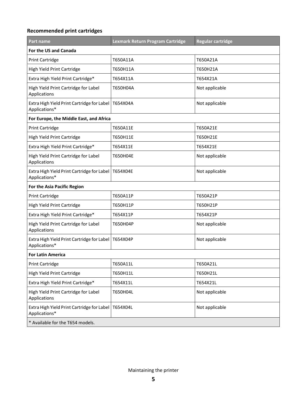### **Recommended print cartridges**

| Part name                                                   | Lexmark Return Program Cartridge | <b>Regular cartridge</b> |
|-------------------------------------------------------------|----------------------------------|--------------------------|
| For the US and Canada                                       |                                  |                          |
| <b>Print Cartridge</b>                                      | T650A11A                         | T650A21A                 |
| High Yield Print Cartridge                                  | T650H11A                         | T650H21A                 |
| Extra High Yield Print Cartridge*                           | T654X11A                         | T654X21A                 |
| High Yield Print Cartridge for Label<br>Applications        | T650H04A                         | Not applicable           |
| Extra High Yield Print Cartridge for Label<br>Applications* | T654X04A                         | Not applicable           |
| For Europe, the Middle East, and Africa                     |                                  |                          |
| <b>Print Cartridge</b>                                      | T650A11E                         | T650A21E                 |
| High Yield Print Cartridge                                  | T650H11E                         | T650H21E                 |
| Extra High Yield Print Cartridge*                           | T654X11E                         | T654X21E                 |
| High Yield Print Cartridge for Label<br>Applications        | T650H04E                         | Not applicable           |
| Extra High Yield Print Cartridge for Label<br>Applications* | T654X04E                         | Not applicable           |
| For the Asia Pacific Region                                 |                                  |                          |
| <b>Print Cartridge</b>                                      | T650A11P                         | T650A21P                 |
| High Yield Print Cartridge                                  | T650H11P                         | T650H21P                 |
| Extra High Yield Print Cartridge*                           | T654X11P                         | T654X21P                 |
| High Yield Print Cartridge for Label<br>Applications        | T650H04P                         | Not applicable           |
| Extra High Yield Print Cartridge for Label<br>Applications* | T654X04P                         | Not applicable           |
| <b>For Latin America</b>                                    |                                  |                          |
| <b>Print Cartridge</b>                                      | T650A11L                         | T650A21L                 |
| High Yield Print Cartridge                                  | T650H11L                         | T650H21L                 |
| Extra High Yield Print Cartridge*                           | T654X11L                         | T654X21L                 |
| High Yield Print Cartridge for Label<br>Applications        | T650H04L                         | Not applicable           |
| Extra High Yield Print Cartridge for Label<br>Applications* | T654X04L                         | Not applicable           |
| * Available for the T654 models.                            |                                  |                          |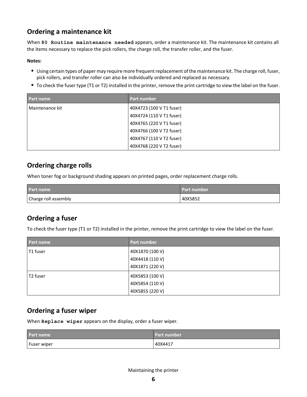# <span id="page-5-0"></span>**Ordering a maintenance kit**

When **80 Routine maintenance needed** appears, order a maintenance kit. The maintenance kit contains all the items necessary to replace the pick rollers, the charge roll, the transfer roller, and the fuser.

#### **Notes:**

- **•** Using certain types of paper may require more frequent replacement of the maintenance kit. The charge roll, fuser, pick rollers, and transfer roller can also be individually ordered and replaced as necessary.
- **•** To check the fuser type (T1 or T2) installed in the printer, remove the print cartridge to view the label on the fuser.

| Part name       | <b>Part number</b>       |
|-----------------|--------------------------|
| Maintenance kit | 40X4723 (100 V T1 fuser) |
|                 | 40X4724 (110 V T1 fuser) |
|                 | 40X4765 (220 V T1 fuser) |
|                 | 40X4766 (100 V T2 fuser) |
|                 | 40X4767 (110 V T2 fuser) |
|                 | 40X4768 (220 V T2 fuser) |

## **Ordering charge rolls**

When toner fog or background shading appears on printed pages, order replacement charge rolls.

| <b>Part name</b>     | <b>Part number</b> |
|----------------------|--------------------|
| Charge roll assembly | 40X5852            |

# **Ordering a fuser**

To check the fuser type (T1 or T2) installed in the printer, remove the print cartridge to view the label on the fuser.

| <b>Part name</b> | Part number     |
|------------------|-----------------|
| T1 fuser         | 40X1870 (100 V) |
|                  | 40X4418 (110 V) |
|                  | 40X1871 (220 V) |
| T2 fuser         | 40X5853 (100 V) |
|                  | 40X5854 (110 V) |
|                  | 40X5855 (220 V) |

## **Ordering a fuser wiper**

When **Replace wiper** appears on the display, order a fuser wiper.

| <b>Part name</b> | Part number |
|------------------|-------------|
| Fuser wiper      | 40X4417     |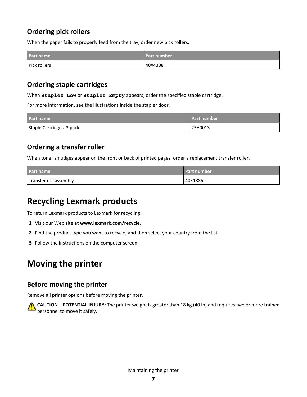# <span id="page-6-0"></span>**Ordering pick rollers**

When the paper fails to properly feed from the tray, order new pick rollers.

| Part name    | <b>Part number</b> |
|--------------|--------------------|
| Pick rollers | 40X4308            |

## **Ordering staple cartridges**

When **Staples Low** or **Staples Empty** appears, order the specified staple cartridge.

For more information, see the illustrations inside the stapler door.

| Part name                | <b>Part number</b> |
|--------------------------|--------------------|
| Staple Cartridges-3 pack | 25A0013            |

# **Ordering a transfer roller**

When toner smudges appear on the front or back of printed pages, order a replacement transfer roller.

| <b>Part name</b>       | l Part number. |
|------------------------|----------------|
| Transfer roll assembly | 40X1886        |

# **Recycling Lexmark products**

To return Lexmark products to Lexmark for recycling:

- **1** Visit our Web site at **[www.lexmark.com/recycle](http://www.lexmark.com/recycle)**.
- **2** Find the product type you want to recycle, and then select your country from the list.
- **3** Follow the instructions on the computer screen.

# **Moving the printer**

## **Before moving the printer**

Remove all printer options before moving the printer.



**CAUTION—POTENTIAL INJURY:** The printer weight is greater than 18 kg (40 lb) and requires two or more trained personnel to move it safely.